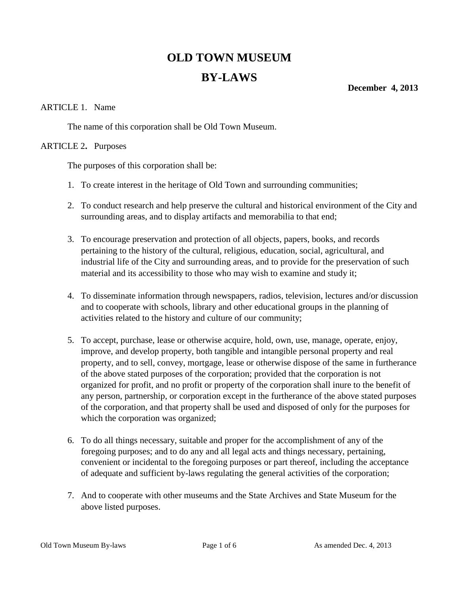# **OLD TOWN MUSEUM BY-LAWS**

**December 4, 2013**

## ARTICLE 1. Name

The name of this corporation shall be Old Town Museum.

#### ARTICLE 2**.** Purposes

The purposes of this corporation shall be:

- 1. To create interest in the heritage of Old Town and surrounding communities;
- 2. To conduct research and help preserve the cultural and historical environment of the City and surrounding areas, and to display artifacts and memorabilia to that end;
- 3. To encourage preservation and protection of all objects, papers, books, and records pertaining to the history of the cultural, religious, education, social, agricultural, and industrial life of the City and surrounding areas, and to provide for the preservation of such material and its accessibility to those who may wish to examine and study it;
- 4. To disseminate information through newspapers, radios, television, lectures and/or discussion and to cooperate with schools, library and other educational groups in the planning of activities related to the history and culture of our community;
- 5. To accept, purchase, lease or otherwise acquire, hold, own, use, manage, operate, enjoy, improve, and develop property, both tangible and intangible personal property and real property, and to sell, convey, mortgage, lease or otherwise dispose of the same in furtherance of the above stated purposes of the corporation; provided that the corporation is not organized for profit, and no profit or property of the corporation shall inure to the benefit of any person, partnership, or corporation except in the furtherance of the above stated purposes of the corporation, and that property shall be used and disposed of only for the purposes for which the corporation was organized;
- 6. To do all things necessary, suitable and proper for the accomplishment of any of the foregoing purposes; and to do any and all legal acts and things necessary, pertaining, convenient or incidental to the foregoing purposes or part thereof, including the acceptance of adequate and sufficient by-laws regulating the general activities of the corporation;
- 7. And to cooperate with other museums and the State Archives and State Museum for the above listed purposes.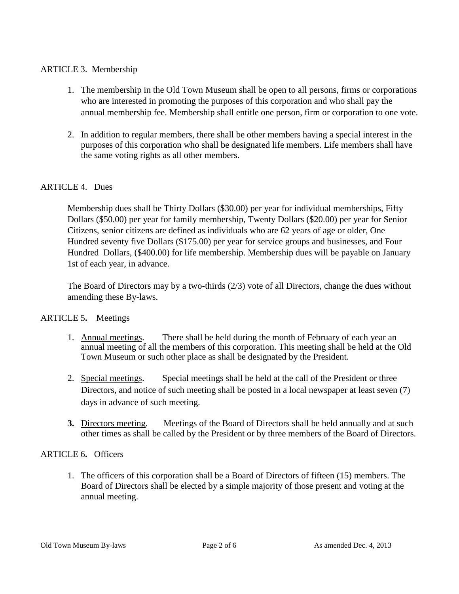## ARTICLE 3. Membership

- 1. The membership in the Old Town Museum shall be open to all persons, firms or corporations who are interested in promoting the purposes of this corporation and who shall pay the annual membership fee. Membership shall entitle one person, firm or corporation to one vote.
- 2. In addition to regular members, there shall be other members having a special interest in the purposes of this corporation who shall be designated life members. Life members shall have the same voting rights as all other members.

#### ARTICLE 4. Dues

Membership dues shall be Thirty Dollars (\$30.00) per year for individual memberships, Fifty Dollars (\$50.00) per year for family membership, Twenty Dollars (\$20.00) per year for Senior Citizens, senior citizens are defined as individuals who are 62 years of age or older, One Hundred seventy five Dollars (\$175.00) per year for service groups and businesses, and Four Hundred Dollars, (\$400.00) for life membership. Membership dues will be payable on January 1st of each year, in advance.

The Board of Directors may by a two-thirds (2/3) vote of all Directors, change the dues without amending these By-laws.

#### ARTICLE 5**.** Meetings

- 1. Annual meetings. There shall be held during the month of February of each year an annual meeting of all the members of this corporation. This meeting shall be held at the Old Town Museum or such other place as shall be designated by the President.
- 2. Special meetings. Special meetings shall be held at the call of the President or three Directors, and notice of such meeting shall be posted in a local newspaper at least seven (7) days in advance of such meeting.
- **3.** Directors meeting. Meetings of the Board of Directors shall be held annually and at such other times as shall be called by the President or by three members of the Board of Directors.

#### ARTICLE 6**.** Officers

1. The officers of this corporation shall be a Board of Directors of fifteen (15) members. The Board of Directors shall be elected by a simple majority of those present and voting at the annual meeting.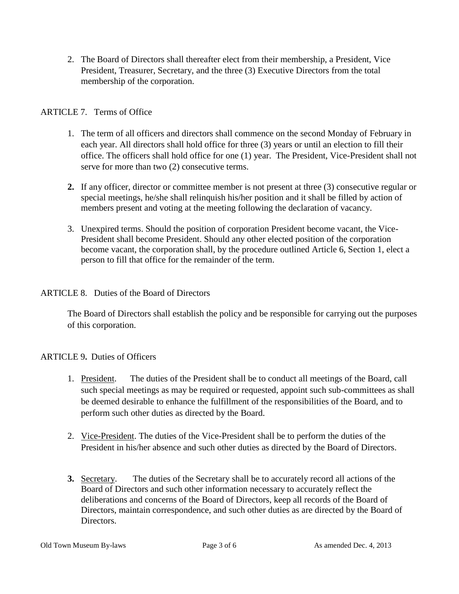2. The Board of Directors shall thereafter elect from their membership, a President, Vice President, Treasurer, Secretary, and the three (3) Executive Directors from the total membership of the corporation.

# ARTICLE 7. Terms of Office

- 1. The term of all officers and directors shall commence on the second Monday of February in each year. All directors shall hold office for three (3) years or until an election to fill their office. The officers shall hold office for one (1) year. The President, Vice-President shall not serve for more than two (2) consecutive terms.
- **2.** If any officer, director or committee member is not present at three (3) consecutive regular or special meetings, he/she shall relinquish his/her position and it shall be filled by action of members present and voting at the meeting following the declaration of vacancy.
- 3. Unexpired terms. Should the position of corporation President become vacant, the Vice-President shall become President. Should any other elected position of the corporation become vacant, the corporation shall, by the procedure outlined Article 6, Section 1, elect a person to fill that office for the remainder of the term.

# ARTICLE 8. Duties of the Board of Directors

The Board of Directors shall establish the policy and be responsible for carrying out the purposes of this corporation.

# ARTICLE 9**.** Duties of Officers

- 1. President. The duties of the President shall be to conduct all meetings of the Board, call such special meetings as may be required or requested, appoint such sub-committees as shall be deemed desirable to enhance the fulfillment of the responsibilities of the Board, and to perform such other duties as directed by the Board.
- 2. Vice-President. The duties of the Vice-President shall be to perform the duties of the President in his/her absence and such other duties as directed by the Board of Directors.
- **3.** Secretary. The duties of the Secretary shall be to accurately record all actions of the Board of Directors and such other information necessary to accurately reflect the deliberations and concerns of the Board of Directors, keep all records of the Board of Directors, maintain correspondence, and such other duties as are directed by the Board of Directors.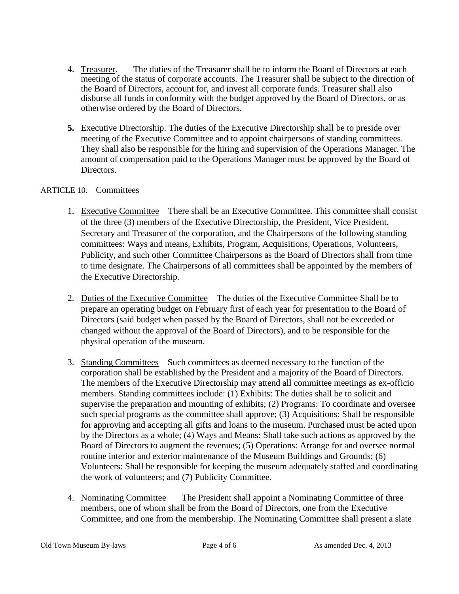- 4. Treasurer. The duties of the Treasurer shall be to inform the Board of Directors at each meeting of the status of corporate accounts. The Treasurer shall be subject to the direction of the Board of Directors, account for, and invest all corporate funds. Treasurer shall also disburse all funds in conformity with the budget approved by the Board of Directors, or as otherwise ordered by the Board of Directors.
- **5.** Executive Directorship. The duties of the Executive Directorship shall be to preside over meeting of the Executive Committee and to appoint chairpersons of standing committees. They shall also be responsible for the hiring and supervision of the Operations Manager. The amount of compensation paid to the Operations Manager must be approved by the Board of Directors.

#### ARTICLE 10. Committees

- 1. Executive Committee There shall be an Executive Committee. This committee shall consist of the three (3) members of the Executive Directorship, the President, Vice President, Secretary and Treasurer of the corporation, and the Chairpersons of the following standing committees: Ways and means, Exhibits, Program, Acquisitions, Operations, Volunteers, Publicity, and such other Committee Chairpersons as the Board of Directors shall from time to time designate. The Chairpersons of all committees shall be appointed by the members of the Executive Directorship.
- 2. Duties of the Executive Committee The duties of the Executive Committee Shall be to prepare an operating budget on February first of each year for presentation to the Board of Directors (said budget when passed by the Board of Directors, shall not be exceeded or changed without the approval of the Board of Directors), and to be responsible for the physical operation of the museum.
- 3. Standing Committees Such committees as deemed necessary to the function of the corporation shall be established by the President and a majority of the Board of Directors. The members of the Executive Directorship may attend all committee meetings as ex-officio members. Standing committees include: (1) Exhibits: The duties shall be to solicit and supervise the preparation and mounting of exhibits; (2) Programs: To coordinate and oversee such special programs as the committee shall approve; (3) Acquisitions: Shall be responsible for approving and accepting all gifts and loans to the museum. Purchased must be acted upon by the Directors as a whole; (4) Ways and Means: Shall take such actions as approved by the Board of Directors to augment the revenues; (5) Operations: Arrange for and oversee normal routine interior and exterior maintenance of the Museum Buildings and Grounds; (6) Volunteers: Shall be responsible for keeping the museum adequately staffed and coordinating the work of volunteers; and (7) Publicity Committee.
- 4. Nominating Committee The President shall appoint a Nominating Committee of three members, one of whom shall be from the Board of Directors, one from the Executive Committee, and one from the membership. The Nominating Committee shall present a slate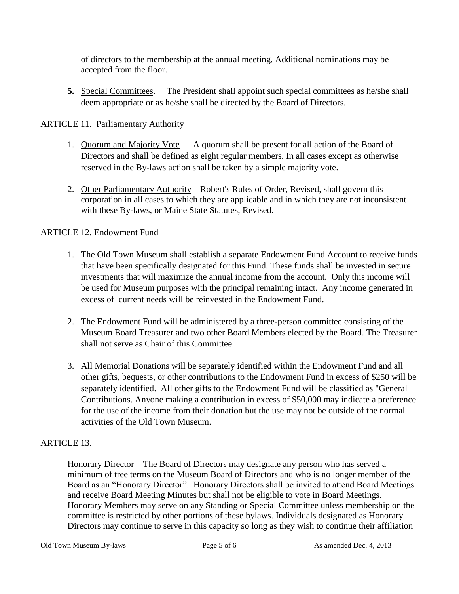of directors to the membership at the annual meeting. Additional nominations may be accepted from the floor.

**5.** Special Committees. The President shall appoint such special committees as he/she shall deem appropriate or as he/she shall be directed by the Board of Directors.

ARTICLE 11. Parliamentary Authority

- 1. Quorum and Majority Vote A quorum shall be present for all action of the Board of Directors and shall be defined as eight regular members. In all cases except as otherwise reserved in the By-laws action shall be taken by a simple majority vote.
- 2. Other Parliamentary Authority Robert's Rules of Order, Revised, shall govern this corporation in all cases to which they are applicable and in which they are not inconsistent with these By-laws, or Maine State Statutes, Revised.

## ARTICLE 12. Endowment Fund

- 1. The Old Town Museum shall establish a separate Endowment Fund Account to receive funds that have been specifically designated for this Fund. These funds shall be invested in secure investments that will maximize the annual income from the account. Only this income will be used for Museum purposes with the principal remaining intact. Any income generated in excess of current needs will be reinvested in the Endowment Fund.
- 2. The Endowment Fund will be administered by a three-person committee consisting of the Museum Board Treasurer and two other Board Members elected by the Board. The Treasurer shall not serve as Chair of this Committee.
- 3. All Memorial Donations will be separately identified within the Endowment Fund and all other gifts, bequests, or other contributions to the Endowment Fund in excess of \$250 will be separately identified. All other gifts to the Endowment Fund will be classified as "General Contributions. Anyone making a contribution in excess of \$50,000 may indicate a preference for the use of the income from their donation but the use may not be outside of the normal activities of the Old Town Museum.

# ARTICLE 13.

Honorary Director – The Board of Directors may designate any person who has served a minimum of tree terms on the Museum Board of Directors and who is no longer member of the Board as an "Honorary Director". Honorary Directors shall be invited to attend Board Meetings and receive Board Meeting Minutes but shall not be eligible to vote in Board Meetings. Honorary Members may serve on any Standing or Special Committee unless membership on the committee is restricted by other portions of these bylaws. Individuals designated as Honorary Directors may continue to serve in this capacity so long as they wish to continue their affiliation